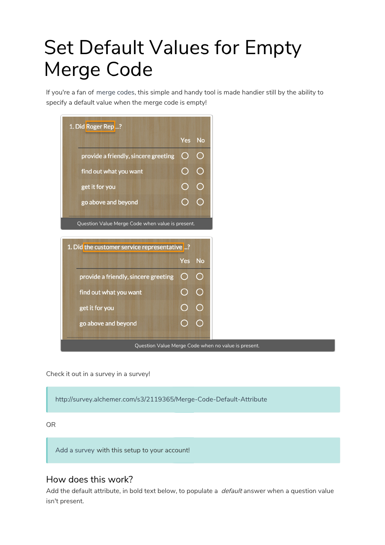# Set Default Values for Empty Merge Code

If you're a fan of merge codes, this simple and handy tool is made handier still by the ability to specify a default value when the merge code is empty!



Check it out in a survey in a survey!

http://survey.alchemer.com/s3/2119365/Merge-Code-Default-Attribute

#### OR

Add a survey with this setup to your account!

## How does this work?

Add the default attribute, in bold text below, to populate a *default* answer when a question value isn't present.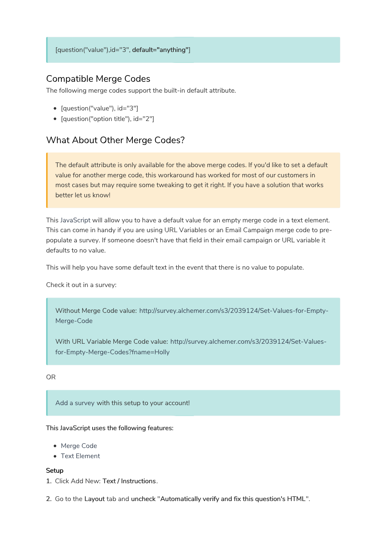## Compatible Merge Codes

The following merge codes support the built-in default attribute.

- [question("value"), id="3"]
- [question("option title"), id="2"]

## What About Other Merge Codes?

The default attribute is only available for the above merge codes. If you'd like to set a default value for another merge code, this workaround has worked for most of our customers in most cases but may require some tweaking to get it right. If you have a solution that works better let us know!

This JavaScript will allow you to have a default value for an empty merge code in a text element. This can come in handy if you are using URL Variables or an Email Campaign merge code to prepopulate a survey. If someone doesn't have that field in their email campaign or URL variable it defaults to no value.

This will help you have some default text in the event that there is no value to populate.

Check it out in a survey:

Without Merge Code value: http://survey.alchemer.com/s3/2039124/Set-Values-for-Empty-Merge-Code

With URL Variable Merge Code value: http://survey.alchemer.com/s3/2039124/Set-Valuesfor-Empty-Merge-Codes?fname=Holly

#### OR

Add a survey with this setup to your account!

This JavaScript uses the following features:

- Merge Code
- Text Element

#### Setup

- 1. Click Add New: Text / Instructions.
- 2. Go to the Layout tab and uncheck "Automatically verify and fix this question's HTML".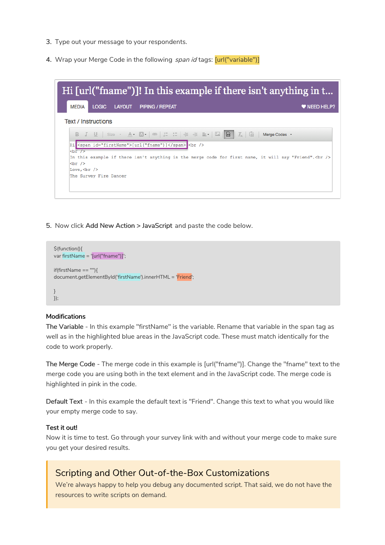- 3. Type out your message to your respondents.
- 4. Wrap your Merge Code in the following span id tags: [url("variable")]



5. Now click Add New Action > JavaScript and paste the code below.

```
$(function(){
var firstName = '[url("fname")]';
if(firstName == ""){
document.getElementById('firstName').innerHTML = 'Friend';
}
});
```
#### Modifications

The Variable - In this example "firstName" is the variable. Rename that variable in the span tag as well as in the highlighted blue areas in the JavaScript code. These must match identically for the code to work properly.

The Merge Code - The merge code in this example is [url("fname")]. Change the "fname" text to the merge code you are using both in the text element and in the JavaScript code. The merge code is highlighted in pink in the code.

Default Text - In this example the default text is "Friend". Change this text to what you would like your empty merge code to say.

#### Test it out!

Now it is time to test. Go through your survey link with and without your merge code to make sure you get your desired results.

### Scripting and Other Out-of-the-Box Customizations

We're always happy to help you debug any documented script. That said, we do not have the resources to write scripts on demand.